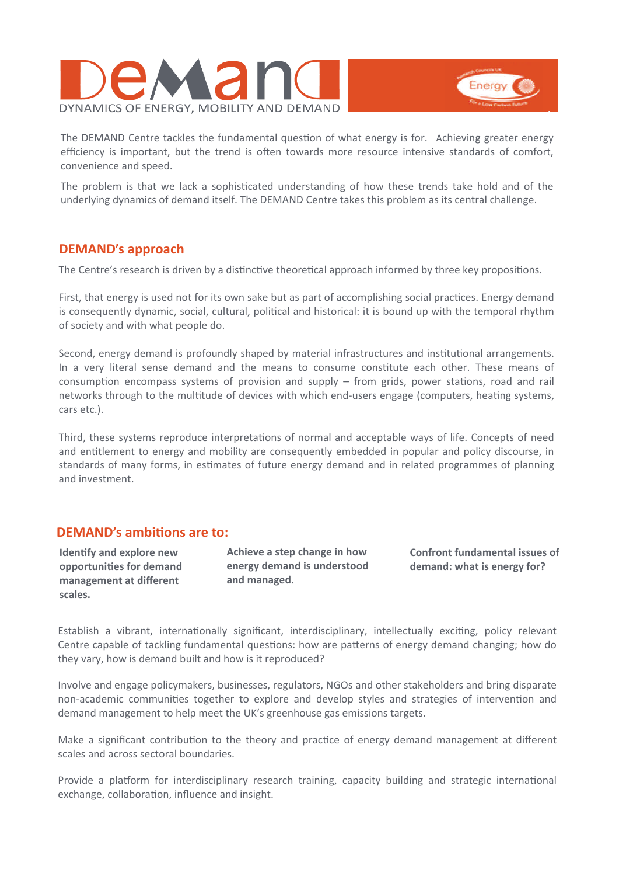



The DEMAND Centre tackles the fundamental question of what energy is for. Achieving greater energy efficiency is important, but the trend is often towards more resource intensive standards of comfort, convenience and speed.

The problem is that we lack a sophisticated understanding of how these trends take hold and of the underlying dynamics of demand itself. The DEMAND Centre takes this problem as its central challenge.

# **DEMAND's approach**

The Centre's research is driven by a distinctive theoretical approach informed by three key propositions.

First, that energy is used not for its own sake but as part of accomplishing social practices. Energy demand is consequently dynamic, social, cultural, political and historical: it is bound up with the temporal rhythm of society and with what people do.

Second, energy demand is profoundly shaped by material infrastructures and institutional arrangements. In a very literal sense demand and the means to consume constitute each other. These means of consumption encompass systems of provision and supply  $-$  from grids, power stations, road and rail networks through to the multitude of devices with which end-users engage (computers, heating systems, cars etc.).

Third, these systems reproduce interpretations of normal and acceptable ways of life. Concepts of need and entitlement to energy and mobility are consequently embedded in popular and policy discourse, in standards of many forms, in estimates of future energy demand and in related programmes of planning and investment.

## **DEMAND's ambitions are to:**

**Identify and explore new opportuniƟes for demand management at different scales.**

**Achieve a step change in how energy demand is understood and managed.** 

**Confront fundamental issues of demand: what is energy for?** 

Establish a vibrant, internationally significant, interdisciplinary, intellectually exciting, policy relevant Centre capable of tackling fundamental questions: how are patterns of energy demand changing; how do they vary, how is demand built and how is it reproduced?

Involve and engage policymakers, businesses, regulators, NGOs and other stakeholders and bring disparate non-academic communities together to explore and develop styles and strategies of intervention and demand management to help meet the UK's greenhouse gas emissions targets.

Make a significant contribution to the theory and practice of energy demand management at different scales and across sectoral boundaries.

Provide a platform for interdisciplinary research training, capacity building and strategic international exchange, collaboration, influence and insight.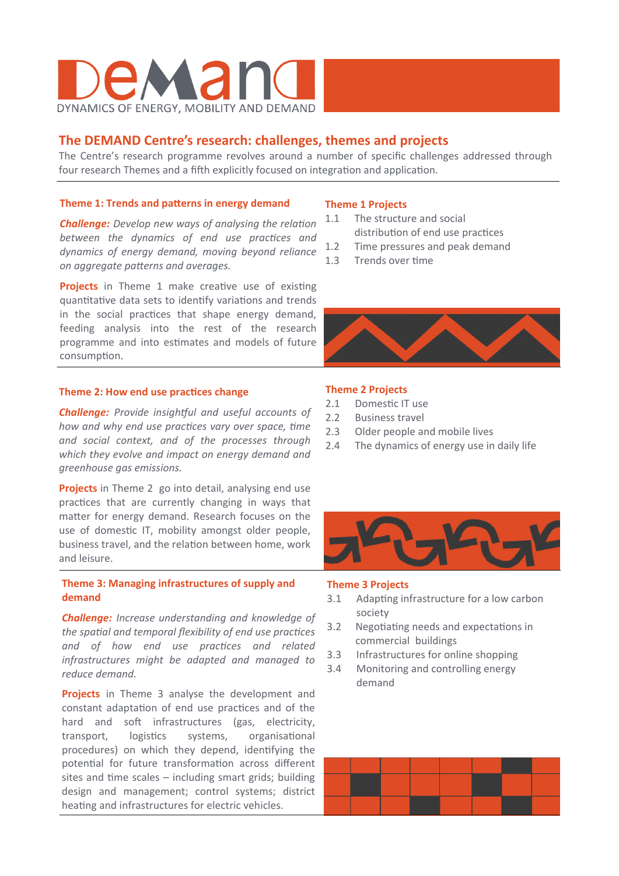

# **The DEMAND Centre's research: challenges, themes and projects**

The Centre's research programme revolves around a number of specific challenges addressed through four research Themes and a fifth explicitly focused on integration and application.

#### **Theme 1: Trends and patterns in energy demand**

*Challenge: Develop new ways of analysing the relation between the dynamics of end use practices and dynamics of energy demand, moving beyond reliance on aggregate paƩerns and averages.* 

**Projects** in Theme 1 make creative use of existing quantitative data sets to identify variations and trends in the social practices that shape energy demand, feeding analysis into the rest of the research programme and into estimates and models of future consumption.

#### **Theme 2: How end use practices change**

**Challenge:** Provide insightful and useful accounts of *how and why end use practices vary over space, time and social context, and of the processes through which they evolve and impact on energy demand and greenhouse gas emissions.* 

**Projects** in Theme 2 go into detail, analysing end use practices that are currently changing in ways that matter for energy demand. Research focuses on the use of domestic IT, mobility amongst older people, business travel, and the relation between home, work and leisure.

#### **Theme 3: Managing infrastructures of supply and demand**

*Challenge: Increase understanding and knowledge of the spatial and temporal flexibility of end use practices and of how end use pracƟces and related infrastructures might be adapted and managed to reduce demand.*

**Projects** in Theme 3 analyse the development and constant adaptation of end use practices and of the hard and soft infrastructures (gas, electricity, transport, logistics systems, organisational procedures) on which they depend, identifying the potential for future transformation across different sites and time scales  $-$  including smart grids; building design and management; control systems; district heating and infrastructures for electric vehicles.

#### **Theme 1 Projects**

- 1.1 The structure and social distribution of end use practices
- 1.2 Time pressures and peak demand
- 1.3 Trends over time



#### **Theme 2 Projects**

- 2.1 Domestic IT use
- 2.2 Business travel
- 2.3 Older people and mobile lives
- 2.4 The dynamics of energy use in daily life



#### **Theme 3 Projects**

- 3.1 Adapting infrastructure for a low carbon society
- 3.2 Negotiating needs and expectations in commercial buildings
- 3.3 Infrastructures for online shopping
- 3.4 Monitoring and controlling energy demand

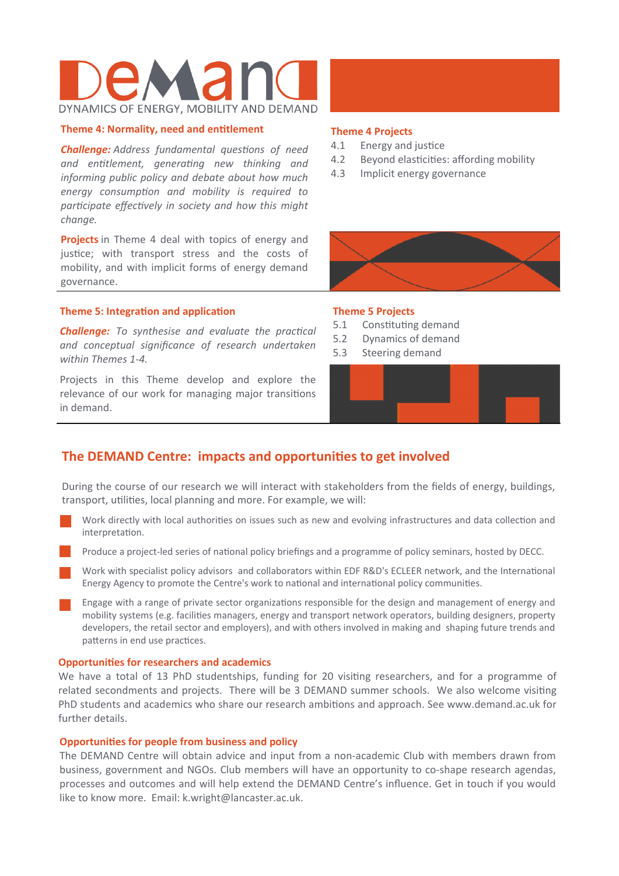# DYNAMICS OF ENERGY, MOBILITY AND DEMAND

#### **Theme 4: Normality, need and entitlement**

*Challenge: Address fundamental questions of need and enƟtlement, generaƟng new thinking and informing public policy and debate about how much energy consumpƟon and mobility is required to parƟcipate effecƟvely in society and how this might change.* 

**Projects** in Theme 4 deal with topics of energy and justice; with transport stress and the costs of mobility, and with implicit forms of energy demand governance.

#### **Theme 5: Integration and application**

*Challenge: To synthesise and evaluate the practical and conceptual significance of research undertaken within Themes 1‐4.* 

Projects in this Theme develop and explore the relevance of our work for managing major transitions in demand.

#### **Theme 4 Projects**

- 4.1 Energy and justice
- 4.2 Beyond elasticities: affording mobility
- 4.3 Implicit energy governance



#### **Theme 5 Projects**

- 5.1 Constituting demand
- 5.2 Dynamics of demand
- 5.3 Steering demand



# **The DEMAND Centre: impacts and opportunities to get involved**

During the course of our research we will interact with stakeholders from the fields of energy, buildings, transport, utilities, local planning and more. For example, we will:

- Work directly with local authorities on issues such as new and evolving infrastructures and data collection and interpretation.
- Produce a project-led series of national policy briefings and a programme of policy seminars, hosted by DECC.
- Work with specialist policy advisors and collaborators within EDF R&D's ECLEER network, and the International Energy Agency to promote the Centre's work to national and international policy communities.
- Engage with a range of private sector organizations responsible for the design and management of energy and mobility systems (e.g. facilities managers, energy and transport network operators, building designers, property developers, the retail sector and employers), and with others involved in making and shaping future trends and patterns in end use practices.

#### **OpportuniƟes for researchers and academics**

We have a total of 13 PhD studentships, funding for 20 visiting researchers, and for a programme of related secondments and projects. There will be 3 DEMAND summer schools. We also welcome visiting PhD students and academics who share our research ambitions and approach. See www.demand.ac.uk for further details.

#### **OpportuniƟes for people from business and policy**

The DEMAND Centre will obtain advice and input from a non-academic Club with members drawn from business, government and NGOs. Club members will have an opportunity to co-shape research agendas, processes and outcomes and will help extend the DEMAND Centre's influence. Get in touch if you would like to know more. Email: k.wright@lancaster.ac.uk.